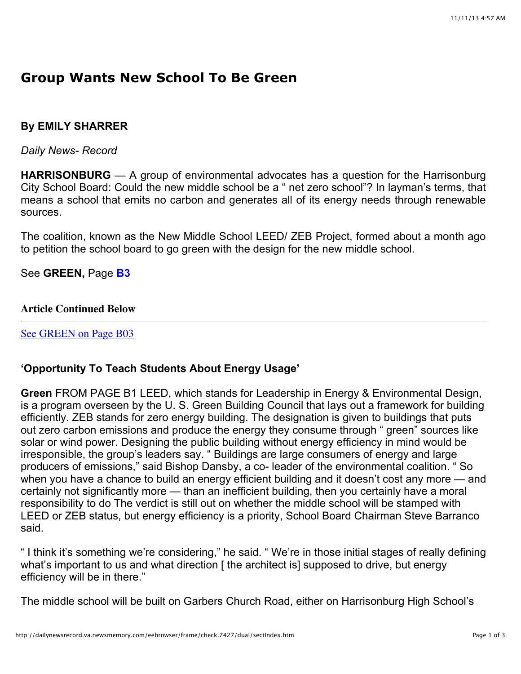# **Group Wants New School To Be Green**

# **By EMILY SHARRER**

### *Daily News- Record*

**HARRISONBURG** — A group of environmental advocates has a question for the Harrisonburg City School Board: Could the new middle school be a " net zero school"? In layman's terms, that means a school that emits no carbon and generates all of its energy needs through renewable sources.

The coalition, known as the New Middle School LEED/ ZEB Project, formed about a month ago to petition the school board to go green with the design for the new middle school.

See **GREEN,** Page **[B3](javascript:parent.contents.gotoPage(%22A%22,%22B3%22);)**

#### **Article Continued Below**

#### [See GREEN on Page B03](javascript:parent.contents.setPJumpName(%22GREEN%22);javascript:parent.contents.setPJumpDirection(%221%22);javascript:parent.contents.gotoPage(%22A%22,%22B03%22);)

## **'Opportunity To Teach Students About Energy Usage'**

**Green** FROM PAGE B1 LEED, which stands for Leadership in Energy & Environmental Design, is a program overseen by the U. S. Green Building Council that lays out a framework for building efficiently. ZEB stands for zero energy building. The designation is given to buildings that puts out zero carbon emissions and produce the energy they consume through " green" sources like solar or wind power. Designing the public building without energy efficiency in mind would be irresponsible, the group's leaders say. " Buildings are large consumers of energy and large producers of emissions," said Bishop Dansby, a co- leader of the environmental coalition. " So when you have a chance to build an energy efficient building and it doesn't cost any more — and certainly not significantly more — than an inefficient building, then you certainly have a moral responsibility to do The verdict is still out on whether the middle school will be stamped with LEED or ZEB status, but energy efficiency is a priority, School Board Chairman Steve Barranco said.

" I think it's something we're considering," he said. " We're in those initial stages of really defining what's important to us and what direction [the architect is] supposed to drive, but energy efficiency will be in there."

The middle school will be built on Garbers Church Road, either on Harrisonburg High School's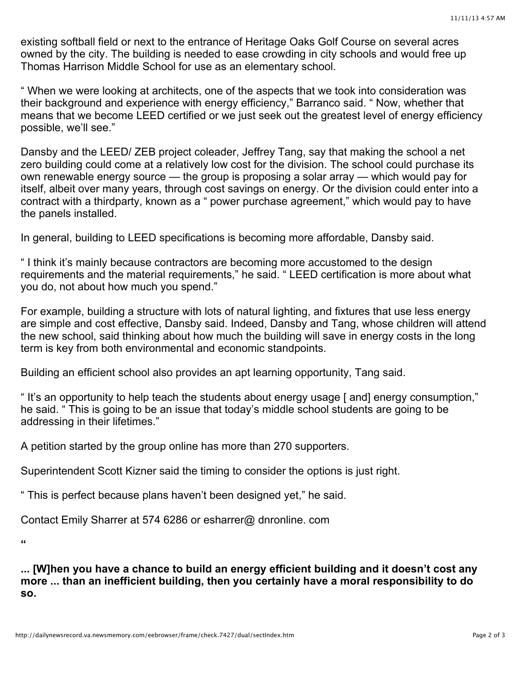existing softball field or next to the entrance of Heritage Oaks Golf Course on several acres owned by the city. The building is needed to ease crowding in city schools and would free up Thomas Harrison Middle School for use as an elementary school.

" When we were looking at architects, one of the aspects that we took into consideration was their background and experience with energy efficiency," Barranco said. " Now, whether that means that we become LEED certified or we just seek out the greatest level of energy efficiency possible, we'll see."

Dansby and the LEED/ ZEB project coleader, Jeffrey Tang, say that making the school a net zero building could come at a relatively low cost for the division. The school could purchase its own renewable energy source — the group is proposing a solar array — which would pay for itself, albeit over many years, through cost savings on energy. Or the division could enter into a contract with a thirdparty, known as a " power purchase agreement," which would pay to have the panels installed.

In general, building to LEED specifications is becoming more affordable, Dansby said.

" I think it's mainly because contractors are becoming more accustomed to the design requirements and the material requirements," he said. " LEED certification is more about what you do, not about how much you spend."

For example, building a structure with lots of natural lighting, and fixtures that use less energy are simple and cost effective, Dansby said. Indeed, Dansby and Tang, whose children will attend the new school, said thinking about how much the building will save in energy costs in the long term is key from both environmental and economic standpoints.

Building an efficient school also provides an apt learning opportunity, Tang said.

" It's an opportunity to help teach the students about energy usage [ and] energy consumption," he said. " This is going to be an issue that today's middle school students are going to be addressing in their lifetimes."

A petition started by the group online has more than 270 supporters.

Superintendent Scott Kizner said the timing to consider the options is just right.

" This is perfect because plans haven't been designed yet," he said.

Contact Emily Sharrer at 574 6286 or esharrer@ dnronline. com

**"**

**... [W]hen you have a chance to build an energy efficient building and it doesn't cost any more ... than an inefficient building, then you certainly have a moral responsibility to do so.**